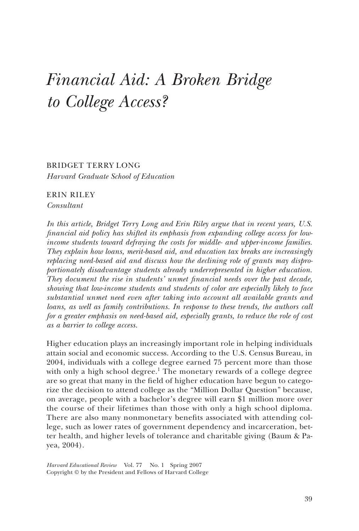# *Financial Aid: A Broken Bridge to College Access?*

# BRIDGET TERRY LONG *Harvard Graduate School of Education*

ERIN RILEY *Consultant*

*In this article, Bridget Terry Long and Erin Riley argue that in recent years, U.S. financial aid policy has shifted its emphasis from expanding college access for lowincome students toward defraying the costs for middle- and upper-income families. They explain how loans, merit-based aid, and education tax breaks are increasingly replacing need-based aid and discuss how the declining role of grants may disproportionately disadvantage students already underrepresented in higher education. They document the rise in students' unmet financial needs over the past decade, showing that low-income students and students of color are especially likely to face substantial unmet need even after taking into account all available grants and loans, as well as family contributions. In response to these trends, the authors call for a greater emphasis on need-based aid, especially grants, to reduce the role of cost as a barrier to college access.*

Higher education plays an increasingly important role in helping individuals attain social and economic success. According to the U.S. Census Bureau, in 2004, individuals with a college degree earned 75 percent more than those with only a high school degree.<sup>1</sup> The monetary rewards of a college degree are so great that many in the field of higher education have begun to categorize the decision to attend college as the "Million Dollar Question" because, on average, people with a bachelor's degree will earn \$1 million more over the course of their lifetimes than those with only a high school diploma. There are also many nonmonetary benefits associated with attending college, such as lower rates of government dependency and incarceration, better health, and higher levels of tolerance and charitable giving (Baum & Payea, 2004).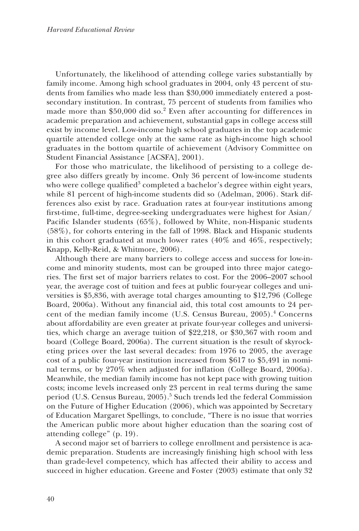Unfortunately, the likelihood of attending college varies substantially by family income. Among high school graduates in 2004, only 43 percent of students from families who made less than \$30,000 immediately entered a postsecondary institution. In contrast, 75 percent of students from families who made more than  $$50,000$  did so.<sup>2</sup> Even after accounting for differences in academic preparation and achievement, substantial gaps in college access still exist by income level. Low-income high school graduates in the top academic quartile attended college only at the same rate as high-income high school graduates in the bottom quartile of achievement (Advisory Committee on Student Financial Assistance [ACSFA], 2001).

For those who matriculate, the likelihood of persisting to a college degree also differs greatly by income. Only 36 percent of low-income students who were college qualified<sup>3</sup> completed a bachelor's degree within eight years, while 81 percent of high-income students did so (Adelman, 2006). Stark differences also exist by race. Graduation rates at four-year institutions among first-time, full-time, degree-seeking undergraduates were highest for Asian/ Pacific Islander students (65%), followed by White, non-Hispanic students (58%), for cohorts entering in the fall of 1998. Black and Hispanic students in this cohort graduated at much lower rates (40% and 46%, respectively; Knapp, Kelly-Reid, & Whitmore, 2006).

Although there are many barriers to college access and success for low-income and minority students, most can be grouped into three major categories. The first set of major barriers relates to cost. For the 2006–2007 school year, the average cost of tuition and fees at public four-year colleges and universities is \$5,836, with average total charges amounting to \$12,796 (College Board, 2006a). Without any financial aid, this total cost amounts to 24 percent of the median family income (U.S. Census Bureau, 2005).<sup>4</sup> Concerns about affordability are even greater at private four-year colleges and universities, which charge an average tuition of \$22,218, or \$30,367 with room and board (College Board, 2006a). The current situation is the result of skyrocketing prices over the last several decades: from 1976 to 2005, the average cost of a public four-year institution increased from \$617 to \$5,491 in nominal terms, or by 270% when adjusted for inflation (College Board, 2006a). Meanwhile, the median family income has not kept pace with growing tuition costs; income levels increased only 23 percent in real terms during the same period (U.S. Census Bureau, 2005).<sup>5</sup> Such trends led the federal Commission on the Future of Higher Education (2006), which was appointed by Secretary of Education Margaret Spellings, to conclude, "There is no issue that worries the American public more about higher education than the soaring cost of attending college" (p. 19).

A second major set of barriers to college enrollment and persistence is academic preparation. Students are increasingly finishing high school with less than grade-level competency, which has affected their ability to access and succeed in higher education. Greene and Foster (2003) estimate that only 32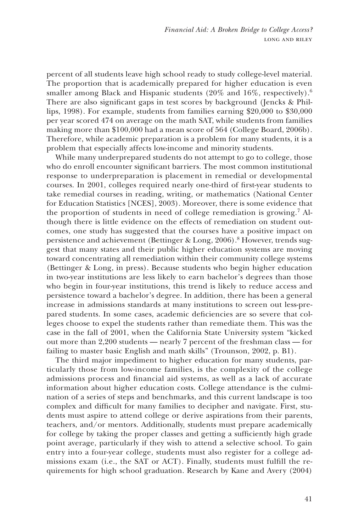percent of all students leave high school ready to study college-level material. The proportion that is academically prepared for higher education is even smaller among Black and Hispanic students ( $20\%$  and  $16\%$ , respectively).<sup>6</sup> There are also significant gaps in test scores by background (Jencks & Phillips, 1998). For example, students from families earning \$20,000 to \$30,000 per year scored 474 on average on the math SAT, while students from families making more than \$100,000 had a mean score of 564 (College Board, 2006b). Therefore, while academic preparation is a problem for many students, it is a problem that especially affects low-income and minority students.

While many underprepared students do not attempt to go to college, those who do enroll encounter significant barriers. The most common institutional response to underpreparation is placement in remedial or developmental courses. In 2001, colleges required nearly one-third of first-year students to take remedial courses in reading, writing, or mathematics (National Center for Education Statistics [NCES], 2003). Moreover, there is some evidence that the proportion of students in need of college remediation is growing.7 Although there is little evidence on the effects of remediation on student outcomes, one study has suggested that the courses have a positive impact on persistence and achievement (Bettinger & Long, 2006).<sup>8</sup> However, trends suggest that many states and their public higher education systems are moving toward concentrating all remediation within their community college systems (Bettinger & Long, in press). Because students who begin higher education in two-year institutions are less likely to earn bachelor's degrees than those who begin in four-year institutions, this trend is likely to reduce access and persistence toward a bachelor's degree. In addition, there has been a general increase in admissions standards at many institutions to screen out less-prepared students. In some cases, academic deficiencies are so severe that colleges choose to expel the students rather than remediate them. This was the case in the fall of 2001, when the California State University system "kicked out more than 2,200 students — nearly 7 percent of the freshman class — for failing to master basic English and math skills" (Trounson, 2002, p. B1).

The third major impediment to higher education for many students, particularly those from low-income families, is the complexity of the college admissions process and financial aid systems, as well as a lack of accurate information about higher education costs. College attendance is the culmination of a series of steps and benchmarks, and this current landscape is too complex and difficult for many families to decipher and navigate. First, students must aspire to attend college or derive aspirations from their parents, teachers, and/or mentors. Additionally, students must prepare academically for college by taking the proper classes and getting a sufficiently high grade point average, particularly if they wish to attend a selective school. To gain entry into a four-year college, students must also register for a college admissions exam (i.e., the SAT or ACT). Finally, students must fulfill the requirements for high school graduation. Research by Kane and Avery (2004)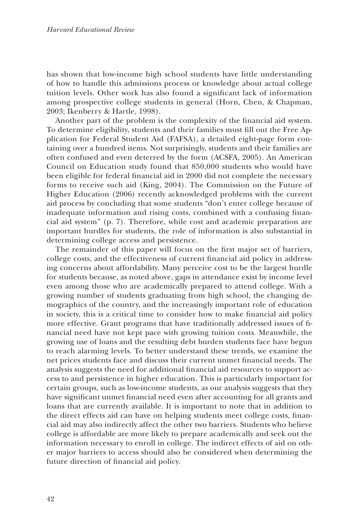has shown that low-income high school students have little understanding of how to handle this admissions process or knowledge about actual college tuition levels. Other work has also found a significant lack of information among prospective college students in general (Horn, Chen, & Chapman, 2003; Ikenberry & Hartle, 1998).

Another part of the problem is the complexity of the financial aid system. To determine eligibility, students and their families must fill out the Free Application for Federal Student Aid (FAFSA), a detailed eight-page form containing over a hundred items. Not surprisingly, students and their families are often confused and even deterred by the form (ACSFA, 2005). An American Council on Education study found that 850,000 students who would have been eligible for federal financial aid in 2000 did not complete the necessary forms to receive such aid (King, 2004). The Commission on the Future of Higher Education (2006) recently acknowledged problems with the current aid process by concluding that some students "don't enter college because of inadequate information and rising costs, combined with a confusing financial aid system" (p. 7). Therefore, while cost and academic preparation are important hurdles for students, the role of information is also substantial in determining college access and persistence.

The remainder of this paper will focus on the first major set of barriers, college costs, and the effectiveness of current financial aid policy in addressing concerns about affordability. Many perceive cost to be the largest hurdle for students because, as noted above, gaps in attendance exist by income level even among those who are academically prepared to attend college. With a growing number of students graduating from high school, the changing demographics of the country, and the increasingly important role of education in society, this is a critical time to consider how to make financial aid policy more effective. Grant programs that have traditionally addressed issues of financial need have not kept pace with growing tuition costs. Meanwhile, the growing use of loans and the resulting debt burden students face have begun to reach alarming levels. To better understand these trends, we examine the net prices students face and discuss their current unmet financial needs. The analysis suggests the need for additional financial aid resources to support access to and persistence in higher education. This is particularly important for certain groups, such as low-income students, as our analysis suggests that they have significant unmet financial need even after accounting for all grants and loans that are currently available. It is important to note that in addition to the direct effects aid can have on helping students meet college costs, financial aid may also indirectly affect the other two barriers. Students who believe college is affordable are more likely to prepare academically and seek out the information necessary to enroll in college. The indirect effects of aid on other major barriers to access should also be considered when determining the future direction of financial aid policy.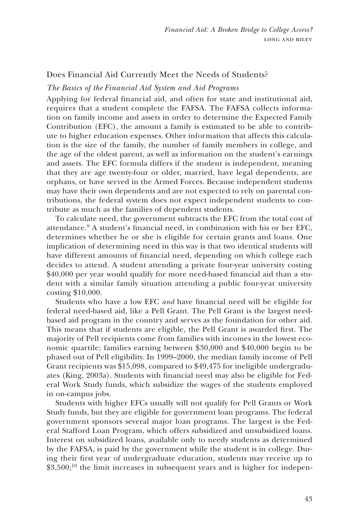## Does Financial Aid Currently Meet the Needs of Students?

# *The Basics of the Financial Aid System and Aid Programs*

Applying for federal financial aid, and often for state and institutional aid, requires that a student complete the FAFSA. The FAFSA collects information on family income and assets in order to determine the Expected Family Contribution (EFC), the amount a family is estimated to be able to contribute to higher education expenses. Other information that affects this calculation is the size of the family, the number of family members in college, and the age of the oldest parent, as well as information on the student's earnings and assets. The EFC formula differs if the student is independent, meaning that they are age twenty-four or older, married, have legal dependents, are orphans, or have served in the Armed Forces. Because independent students may have their own dependents and are not expected to rely on parental contributions, the federal system does not expect independent students to contribute as much as the families of dependent students.

To calculate need, the government subtracts the EFC from the total cost of attendance.<sup>9</sup> A student's financial need, in combination with his or her EFC, determines whether he or she is eligible for certain grants and loans. One implication of determining need in this way is that two identical students will have different amounts of financial need, depending on which college each decides to attend. A student attending a private four-year university costing \$40,000 per year would qualify for more need-based financial aid than a student with a similar family situation attending a public four-year university costing \$10,000.

Students who have a low EFC *and* have financial need will be eligible for federal need-based aid, like a Pell Grant. The Pell Grant is the largest needbased aid program in the country and serves as the foundation for other aid. This means that if students are eligible, the Pell Grant is awarded first. The majority of Pell recipients come from families with incomes in the lowest economic quartile; families earning between \$30,000 and \$40,000 begin to be phased out of Pell eligibility. In 1999–2000, the median family income of Pell Grant recipients was \$15,098, compared to \$49,475 for ineligible undergraduates (King, 2003a). Students with financial need may also be eligible for Federal Work Study funds, which subsidize the wages of the students employed in on-campus jobs.

Students with higher EFCs usually will not qualify for Pell Grants or Work Study funds, but they are eligible for government loan programs. The federal government sponsors several major loan programs. The largest is the Federal Stafford Loan Program, which offers subsidized and unsubsidized loans. Interest on subsidized loans, available only to needy students as determined by the FAFSA, is paid by the government while the student is in college. During their first year of undergraduate education, students may receive up to  $$3,500;^{10}$  the limit increases in subsequent years and is higher for indepen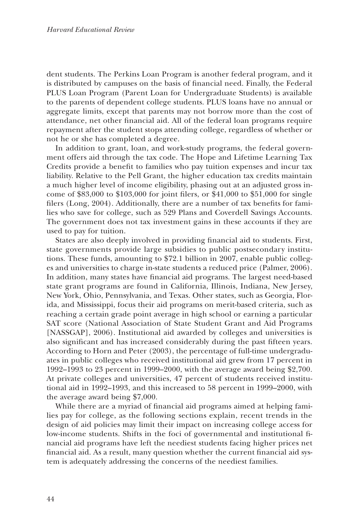dent students. The Perkins Loan Program is another federal program, and it is distributed by campuses on the basis of financial need. Finally, the Federal PLUS Loan Program (Parent Loan for Undergraduate Students) is available to the parents of dependent college students. PLUS loans have no annual or aggregate limits, except that parents may not borrow more than the cost of attendance, net other financial aid. All of the federal loan programs require repayment after the student stops attending college, regardless of whether or not he or she has completed a degree.

In addition to grant, loan, and work-study programs, the federal government offers aid through the tax code. The Hope and Lifetime Learning Tax Credits provide a benefit to families who pay tuition expenses and incur tax liability. Relative to the Pell Grant, the higher education tax credits maintain a much higher level of income eligibility, phasing out at an adjusted gross income of \$83,000 to \$103,000 for joint filers, or \$41,000 to \$51,000 for single filers (Long, 2004). Additionally, there are a number of tax benefits for families who save for college, such as 529 Plans and Coverdell Savings Accounts. The government does not tax investment gains in these accounts if they are used to pay for tuition.

States are also deeply involved in providing financial aid to students. First, state governments provide large subsidies to public postsecondary institutions. These funds, amounting to \$72.1 billion in 2007, enable public colleges and universities to charge in-state students a reduced price (Palmer, 2006). In addition, many states have financial aid programs. The largest need-based state grant programs are found in California, Illinois, Indiana, New Jersey, New York, Ohio, Pennsylvania, and Texas. Other states, such as Georgia, Florida, and Mississippi, focus their aid programs on merit-based criteria, such as reaching a certain grade point average in high school or earning a particular SAT score (National Association of State Student Grant and Aid Programs [NASSGAP], 2006). Institutional aid awarded by colleges and universities is also significant and has increased considerably during the past fifteen years. According to Horn and Peter (2003), the percentage of full-time undergraduates in public colleges who received institutional aid grew from 17 percent in 1992–1993 to 23 percent in 1999–2000, with the average award being \$2,700. At private colleges and universities, 47 percent of students received institutional aid in 1992–1993, and this increased to 58 percent in 1999–2000, with the average award being \$7,000.

While there are a myriad of financial aid programs aimed at helping families pay for college, as the following sections explain, recent trends in the design of aid policies may limit their impact on increasing college access for low-income students. Shifts in the foci of governmental and institutional financial aid programs have left the neediest students facing higher prices net financial aid. As a result, many question whether the current financial aid system is adequately addressing the concerns of the neediest families.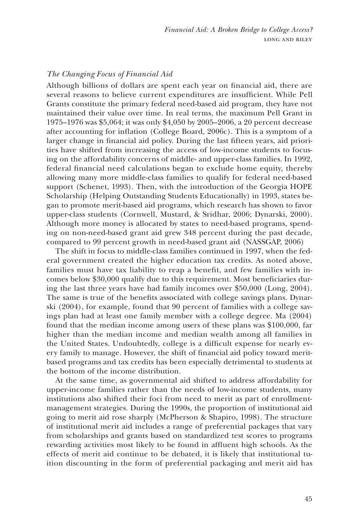## *The Changing Focus of Financial Aid*

Although billions of dollars are spent each year on financial aid, there are several reasons to believe current expenditures are insufficient. While Pell Grants constitute the primary federal need-based aid program, they have not maintained their value over time. In real terms, the maximum Pell Grant in 1975–1976 was \$5,064; it was only \$4,050 by 2005–2006, a 20 percent decrease after accounting for inflation (College Board, 2006c). This is a symptom of a larger change in financial aid policy. During the last fifteen years, aid priorities have shifted from increasing the access of low-income students to focusing on the affordability concerns of middle- and upper-class families. In 1992, federal financial need calculations began to exclude home equity, thereby allowing many more middle-class families to qualify for federal need-based support (Schenet, 1993). Then, with the introduction of the Georgia HOPE Scholarship (Helping Outstanding Students Educationally) in 1993, states began to promote merit-based aid programs, which research has shown to favor upper-class students (Cornwell, Mustard, & Sridhar, 2006; Dynarski, 2000). Although more money is allocated by states to need-based programs, spending on non-need-based grant aid grew 348 percent during the past decade, compared to 99 percent growth in need-based grant aid (NASSGAP, 2006)

The shift in focus to middle-class families continued in 1997, when the federal government created the higher education tax credits. As noted above, families must have tax liability to reap a benefit, and few families with incomes below \$30,000 qualify due to this requirement. Most beneficiaries during the last three years have had family incomes over \$50,000 (Long, 2004). The same is true of the benefits associated with college savings plans. Dynarski (2004), for example, found that 90 percent of families with a college savings plan had at least one family member with a college degree. Ma (2004) found that the median income among users of these plans was \$100,000, far higher than the median income and median wealth among all families in the United States. Undoubtedly, college is a difficult expense for nearly every family to manage. However, the shift of financial aid policy toward meritbased programs and tax credits has been especially detrimental to students at the bottom of the income distribution.

At the same time, as governmental aid shifted to address affordability for upper-income families rather than the needs of low-income students, many institutions also shifted their foci from need to merit as part of enrollmentmanagement strategies. During the 1990s, the proportion of institutional aid going to merit aid rose sharply (McPherson & Shapiro, 1998). The structure of institutional merit aid includes a range of preferential packages that vary from scholarships and grants based on standardized test scores to programs rewarding activities most likely to be found in affluent high schools. As the effects of merit aid continue to be debated, it is likely that institutional tuition discounting in the form of preferential packaging and merit aid has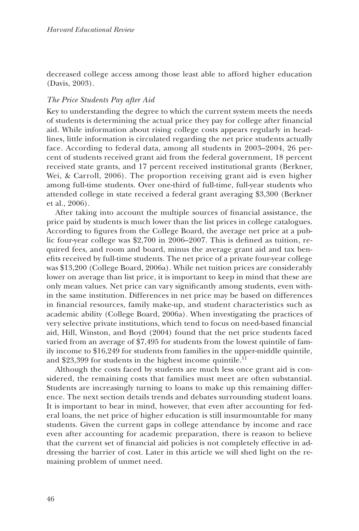decreased college access among those least able to afford higher education (Davis, 2003).

#### *The Price Students Pay after Aid*

Key to understanding the degree to which the current system meets the needs of students is determining the actual price they pay for college after financial aid. While information about rising college costs appears regularly in headlines, little information is circulated regarding the net price students actually face. According to federal data, among all students in 2003–2004, 26 percent of students received grant aid from the federal government, 18 percent received state grants, and 17 percent received institutional grants (Berkner, Wei, & Carroll, 2006). The proportion receiving grant aid is even higher among full-time students. Over one-third of full-time, full-year students who attended college in state received a federal grant averaging \$3,300 (Berkner et al., 2006).

After taking into account the multiple sources of financial assistance, the price paid by students is much lower than the list prices in college catalogues. According to figures from the College Board, the average net price at a public four-year college was \$2,700 in 2006–2007. This is defined as tuition, required fees, and room and board, minus the average grant aid and tax benefits received by full-time students. The net price of a private four-year college was \$13,200 (College Board, 2006a). While net tuition prices are considerably lower on average than list price, it is important to keep in mind that these are only mean values. Net price can vary significantly among students, even within the same institution. Differences in net price may be based on differences in financial resources, family make-up, and student characteristics such as academic ability (College Board, 2006a). When investigating the practices of very selective private institutions, which tend to focus on need-based financial aid, Hill, Winston, and Boyd (2004) found that the net price students faced varied from an average of \$7,495 for students from the lowest quintile of family income to \$16,249 for students from families in the upper-middle quintile, and \$23,399 for students in the highest income quintile.<sup>11</sup>

Although the costs faced by students are much less once grant aid is considered, the remaining costs that families must meet are often substantial. Students are increasingly turning to loans to make up this remaining difference. The next section details trends and debates surrounding student loans. It is important to bear in mind, however, that even after accounting for federal loans, the net price of higher education is still insurmountable for many students. Given the current gaps in college attendance by income and race even after accounting for academic preparation, there is reason to believe that the current set of financial aid policies is not completely effective in addressing the barrier of cost. Later in this article we will shed light on the remaining problem of unmet need.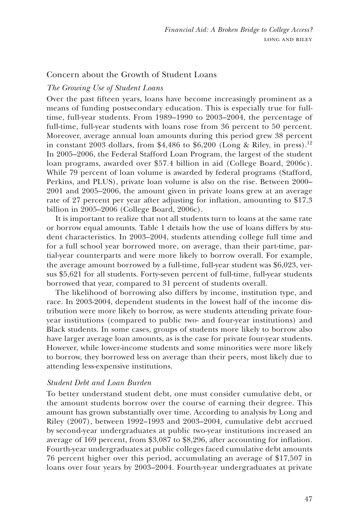## Concern about the Growth of Student Loans

# *The Growing Use of Student Loans*

Over the past fifteen years, loans have become increasingly prominent as a means of funding postsecondary education. This is especially true for fulltime, full-year students. From 1989–1990 to 2003–2004, the percentage of full-time, full-year students with loans rose from 36 percent to 50 percent. Moreover, average annual loan amounts during this period grew 38 percent in constant 2003 dollars, from \$4,486 to \$6,200 (Long & Riley, in press).<sup>12</sup> In 2005–2006, the Federal Stafford Loan Program, the largest of the student loan programs, awarded over \$57.4 billion in aid (College Board, 2006c). While 79 percent of loan volume is awarded by federal programs (Stafford, Perkins, and PLUS), private loan volume is also on the rise. Between 2000– 2001 and 2005–2006, the amount given in private loans grew at an average rate of 27 percent per year after adjusting for inflation, amounting to \$17.3 billion in 2005–2006 (College Board, 2006c).

It is important to realize that not all students turn to loans at the same rate or borrow equal amounts. Table 1 details how the use of loans differs by student characteristics. In 2003–2004, students attending college full time and for a full school year borrowed more, on average, than their part-time, partial-year counterparts and were more likely to borrow overall. For example, the average amount borrowed by a full-time, full-year student was \$6,023, versus \$5,621 for all students. Forty-seven percent of full-time, full-year students borrowed that year, compared to 31 percent of students overall.

The likelihood of borrowing also differs by income, institution type, and race. In 2003-2004, dependent students in the lowest half of the income distribution were more likely to borrow, as were students attending private fouryear institutions (compared to public two- and four-year institutions) and Black students. In some cases, groups of students more likely to borrow also have larger average loan amounts, as is the case for private four-year students. However, while lower-income students and some minorities were more likely to borrow, they borrowed less on average than their peers, most likely due to attending less-expensive institutions.

#### *Student Debt and Loan Burden*

To better understand student debt, one must consider cumulative debt, or the amount students borrow over the course of earning their degree. This amount has grown substantially over time. According to analysis by Long and Riley (2007), between 1992–1993 and 2003–2004, cumulative debt accrued by second-year undergraduates at public two-year institutions increased an average of 169 percent, from \$3,087 to \$8,296, after accounting for inflation. Fourth-year undergraduates at public colleges faced cumulative debt amounts 76 percent higher over this period, accumulating an average of \$17,507 in loans over four years by 2003–2004. Fourth-year undergraduates at private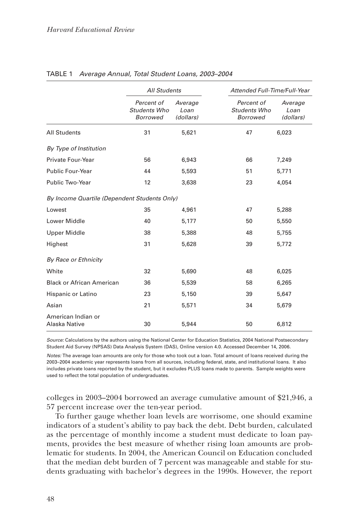|                                              | <b>All Students</b>                                  |                              | Attended Full-Time/Full-Year                         |                              |  |  |  |  |
|----------------------------------------------|------------------------------------------------------|------------------------------|------------------------------------------------------|------------------------------|--|--|--|--|
|                                              | Percent of<br><b>Students Who</b><br><b>Borrowed</b> | Average<br>Loan<br>(dollars) | Percent of<br><b>Students Who</b><br><b>Borrowed</b> | Average<br>Loan<br>(dollars) |  |  |  |  |
| <b>All Students</b>                          | 31                                                   | 5,621                        | 47                                                   | 6,023                        |  |  |  |  |
| By Type of Institution                       |                                                      |                              |                                                      |                              |  |  |  |  |
| <b>Private Four-Year</b>                     | 56                                                   | 6,943                        | 66                                                   | 7,249                        |  |  |  |  |
| <b>Public Four-Year</b>                      | 44                                                   | 5,593                        | 51                                                   | 5,771                        |  |  |  |  |
| Public Two-Year                              | 12                                                   | 3,638                        | 23                                                   | 4,054                        |  |  |  |  |
| By Income Quartile (Dependent Students Only) |                                                      |                              |                                                      |                              |  |  |  |  |
| Lowest                                       | 35                                                   | 4,961                        | 47                                                   | 5,288                        |  |  |  |  |
| <b>Lower Middle</b>                          | 40                                                   | 5,177                        | 50                                                   | 5,550                        |  |  |  |  |
| <b>Upper Middle</b>                          | 38                                                   | 5,388                        | 48                                                   | 5,755                        |  |  |  |  |
| Highest                                      | 31                                                   | 5,628                        | 39                                                   | 5,772                        |  |  |  |  |
| By Race or Ethnicity                         |                                                      |                              |                                                      |                              |  |  |  |  |
| White                                        | 32                                                   | 5,690                        | 48                                                   | 6,025                        |  |  |  |  |
| <b>Black or African American</b>             | 36                                                   | 5,539                        | 58                                                   | 6,265                        |  |  |  |  |
| Hispanic or Latino                           | 23                                                   | 5,150                        | 39                                                   | 5,647                        |  |  |  |  |
| Asian                                        | 21                                                   | 5,571                        | 34                                                   | 5,679                        |  |  |  |  |
| American Indian or<br>Alaska Native          | 30                                                   | 5,944                        | 50                                                   | 6,812                        |  |  |  |  |

#### Table 1 *Average Annual, Total Student Loans, 2003–2004*

*Source:* Calculations by the authors using the National Center for Education Statistics, 2004 National Postsecondary Student Aid Survey (NPSAS) Data Analysis System (DAS), Online version 4.0. Accessed December 14, 2006.

*Notes:* The average loan amounts are only for those who took out a loan. Total amount of loans received during the 2003–2004 academic year represents loans from all sources, including federal, state, and institutional loans. It also includes private loans reported by the student, but it excludes PLUS loans made to parents. Sample weights were used to reflect the total population of undergraduates.

colleges in 2003–2004 borrowed an average cumulative amount of \$21,946, a 57 percent increase over the ten-year period.

To further gauge whether loan levels are worrisome, one should examine indicators of a student's ability to pay back the debt. Debt burden, calculated as the percentage of monthly income a student must dedicate to loan payments, provides the best measure of whether rising loan amounts are problematic for students. In 2004, the American Council on Education concluded that the median debt burden of 7 percent was manageable and stable for students graduating with bachelor's degrees in the 1990s. However, the report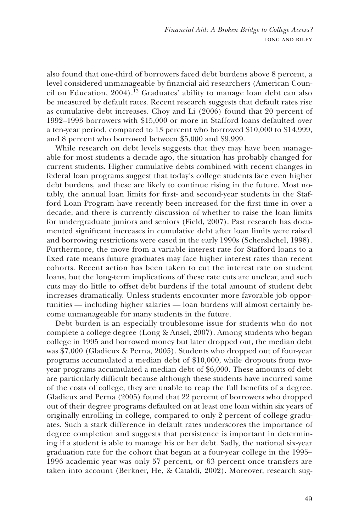also found that one-third of borrowers faced debt burdens above 8 percent, a level considered unmanageable by financial aid researchers (American Council on Education,  $2004$ .<sup>13</sup> Graduates' ability to manage loan debt can also be measured by default rates. Recent research suggests that default rates rise as cumulative debt increases. Choy and Li (2006) found that 20 percent of 1992–1993 borrowers with \$15,000 or more in Stafford loans defaulted over a ten-year period, compared to 13 percent who borrowed \$10,000 to \$14,999, and 8 percent who borrowed between \$5,000 and \$9,999.

While research on debt levels suggests that they may have been manageable for most students a decade ago, the situation has probably changed for current students. Higher cumulative debts combined with recent changes in federal loan programs suggest that today's college students face even higher debt burdens, and these are likely to continue rising in the future. Most notably, the annual loan limits for first- and second-year students in the Stafford Loan Program have recently been increased for the first time in over a decade, and there is currently discussion of whether to raise the loan limits for undergraduate juniors and seniors (Field, 2007). Past research has documented significant increases in cumulative debt after loan limits were raised and borrowing restrictions were eased in the early 1990s (Schershchel, 1998). Furthermore, the move from a variable interest rate for Stafford loans to a fixed rate means future graduates may face higher interest rates than recent cohorts. Recent action has been taken to cut the interest rate on student loans, but the long-term implications of these rate cuts are unclear, and such cuts may do little to offset debt burdens if the total amount of student debt increases dramatically. Unless students encounter more favorable job opportunities — including higher salaries — loan burdens will almost certainly become unmanageable for many students in the future.

Debt burden is an especially troublesome issue for students who do not complete a college degree (Long & Ansel, 2007). Among students who began college in 1995 and borrowed money but later dropped out, the median debt was \$7,000 (Gladieux & Perna, 2005). Students who dropped out of four-year programs accumulated a median debt of \$10,000, while dropouts from twoyear programs accumulated a median debt of \$6,000. These amounts of debt are particularly difficult because although these students have incurred some of the costs of college, they are unable to reap the full benefits of a degree. Gladieux and Perna (2005) found that 22 percent of borrowers who dropped out of their degree programs defaulted on at least one loan within six years of originally enrolling in college, compared to only 2 percent of college graduates. Such a stark difference in default rates underscores the importance of degree completion and suggests that persistence is important in determining if a student is able to manage his or her debt. Sadly, the national six-year graduation rate for the cohort that began at a four-year college in the 1995– 1996 academic year was only 57 percent, or 63 percent once transfers are taken into account (Berkner, He, & Cataldi, 2002). Moreover, research sug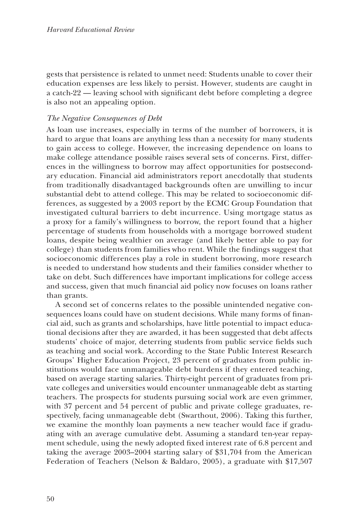gests that persistence is related to unmet need: Students unable to cover their education expenses are less likely to persist. However, students are caught in a catch-22 — leaving school with significant debt before completing a degree is also not an appealing option.

## *The Negative Consequences of Debt*

As loan use increases, especially in terms of the number of borrowers, it is hard to argue that loans are anything less than a necessity for many students to gain access to college. However, the increasing dependence on loans to make college attendance possible raises several sets of concerns. First, differences in the willingness to borrow may affect opportunities for postsecondary education. Financial aid administrators report anecdotally that students from traditionally disadvantaged backgrounds often are unwilling to incur substantial debt to attend college. This may be related to socioeconomic differences, as suggested by a 2003 report by the ECMC Group Foundation that investigated cultural barriers to debt incurrence. Using mortgage status as a proxy for a family's willingness to borrow, the report found that a higher percentage of students from households with a mortgage borrowed student loans, despite being wealthier on average (and likely better able to pay for college) than students from families who rent. While the findings suggest that socioeconomic differences play a role in student borrowing, more research is needed to understand how students and their families consider whether to take on debt. Such differences have important implications for college access and success, given that much financial aid policy now focuses on loans rather than grants.

A second set of concerns relates to the possible unintended negative consequences loans could have on student decisions. While many forms of financial aid, such as grants and scholarships, have little potential to impact educational decisions after they are awarded, it has been suggested that debt affects students' choice of major, deterring students from public service fields such as teaching and social work. According to the State Public Interest Research Groups' Higher Education Project, 23 percent of graduates from public institutions would face unmanageable debt burdens if they entered teaching, based on average starting salaries. Thirty-eight percent of graduates from private colleges and universities would encounter unmanageable debt as starting teachers. The prospects for students pursuing social work are even grimmer, with 37 percent and 54 percent of public and private college graduates, respectively, facing unmanageable debt (Swarthout, 2006). Taking this further, we examine the monthly loan payments a new teacher would face if graduating with an average cumulative debt. Assuming a standard ten-year repayment schedule, using the newly adopted fixed interest rate of 6.8 percent and taking the average 2003–2004 starting salary of \$31,704 from the American Federation of Teachers (Nelson & Baldaro, 2005), a graduate with \$17,507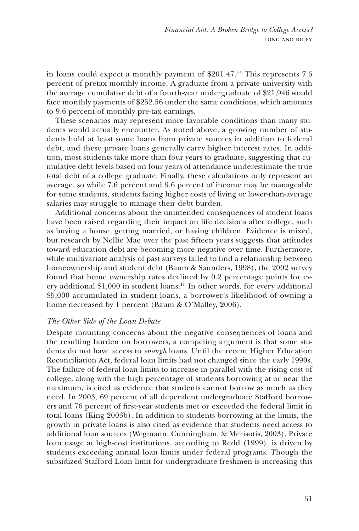in loans could expect a monthly payment of  $$201.47<sup>14</sup>$  This represents 7.6 percent of pretax monthly income. A graduate from a private university with the average cumulative debt of a fourth-year undergraduate of \$21,946 would face monthly payments of \$252.56 under the same conditions, which amounts to 9.6 percent of monthly pre-tax earnings.

These scenarios may represent more favorable conditions than many students would actually encounter. As noted above, a growing number of students hold at least some loans from private sources in addition to federal debt, and these private loans generally carry higher interest rates. In addition, most students take more than four years to graduate, suggesting that cumulative debt levels based on four years of attendance underestimate the true total debt of a college graduate. Finally, these calculations only represent an average, so while 7.6 percent and 9.6 percent of income may be manageable for some students, students facing higher costs of living or lower-than-average salaries may struggle to manage their debt burden.

Additional concerns about the unintended consequences of student loans have been raised regarding their impact on life decisions after college, such as buying a house, getting married, or having children. Evidence is mixed, but research by Nellie Mae over the past fifteen years suggests that attitudes toward education debt are becoming more negative over time. Furthermore, while multivariate analysis of past surveys failed to find a relationship between homeownership and student debt (Baum & Saunders, 1998), the 2002 survey found that home ownership rates declined by 0.2 percentage points for every additional \$1,000 in student loans.15 In other words, for every additional \$5,000 accumulated in student loans, a borrower's likelihood of owning a home decreased by 1 percent (Baum & O'Malley, 2006).

### *The Other Side of the Loan Debate*

Despite mounting concerns about the negative consequences of loans and the resulting burden on borrowers, a competing argument is that some students do not have access to *enough* loans. Until the recent Higher Education Reconciliation Act, federal loan limits had not changed since the early 1990s. The failure of federal loan limits to increase in parallel with the rising cost of college, along with the high percentage of students borrowing at or near the maximum, is cited as evidence that students cannot borrow as much as they need. In 2003, 69 percent of all dependent undergraduate Stafford borrowers and 76 percent of first-year students met or exceeded the federal limit in total loans (King 2003b). In addition to students borrowing at the limits, the growth in private loans is also cited as evidence that students need access to additional loan sources (Wegmann, Cunningham, & Merisotis, 2003). Private loan usage at high-cost institutions, according to Redd (1999), is driven by students exceeding annual loan limits under federal programs. Though the subsidized Stafford Loan limit for undergraduate freshmen is increasing this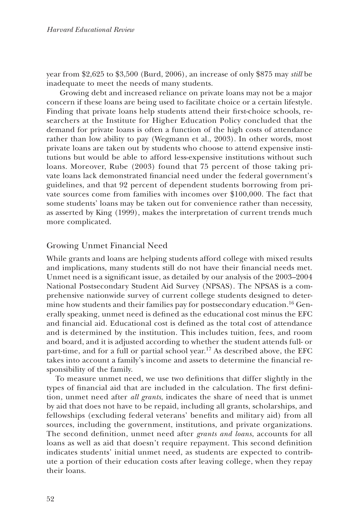year from \$2,625 to \$3,500 (Burd, 2006), an increase of only \$875 may *still* be inadequate to meet the needs of many students.

Growing debt and increased reliance on private loans may not be a major concern if these loans are being used to facilitate choice or a certain lifestyle. Finding that private loans help students attend their first-choice schools, researchers at the Institute for Higher Education Policy concluded that the demand for private loans is often a function of the high costs of attendance rather than low ability to pay (Wegmann et al., 2003). In other words, most private loans are taken out by students who choose to attend expensive institutions but would be able to afford less-expensive institutions without such loans. Moreover, Rube (2003) found that 75 percent of those taking private loans lack demonstrated financial need under the federal government's guidelines, and that 92 percent of dependent students borrowing from private sources come from families with incomes over \$100,000. The fact that some students' loans may be taken out for convenience rather than necessity, as asserted by King (1999), makes the interpretation of current trends much more complicated.

### Growing Unmet Financial Need

While grants and loans are helping students afford college with mixed results and implications, many students still do not have their financial needs met. Unmet need is a significant issue, as detailed by our analysis of the 2003–2004 National Postsecondary Student Aid Survey (NPSAS). The NPSAS is a comprehensive nationwide survey of current college students designed to determine how students and their families pay for postsecondary education.<sup>16</sup> Generally speaking, unmet need is defined as the educational cost minus the EFC and financial aid. Educational cost is defined as the total cost of attendance and is determined by the institution. This includes tuition, fees, and room and board, and it is adjusted according to whether the student attends full- or part-time, and for a full or partial school year.<sup>17</sup> As described above, the EFC takes into account a family's income and assets to determine the financial responsibility of the family.

To measure unmet need, we use two definitions that differ slightly in the types of financial aid that are included in the calculation. The first definition, unmet need after *all grants*, indicates the share of need that is unmet by aid that does not have to be repaid, including all grants, scholarships, and fellowships (excluding federal veterans' benefits and military aid) from all sources, including the government, institutions, and private organizations. The second definition, unmet need after *grants and loans*, accounts for all loans as well as aid that doesn't require repayment. This second definition indicates students' initial unmet need, as students are expected to contribute a portion of their education costs after leaving college, when they repay their loans.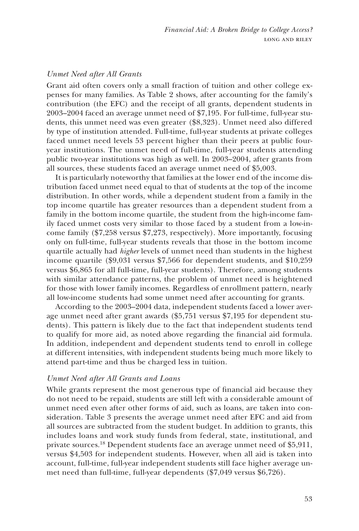## *Unmet Need after All Grants*

Grant aid often covers only a small fraction of tuition and other college expenses for many families. As Table 2 shows, after accounting for the family's contribution (the EFC) and the receipt of all grants, dependent students in 2003–2004 faced an average unmet need of \$7,195. For full-time, full-year students, this unmet need was even greater (\$8,323). Unmet need also differed by type of institution attended. Full-time, full-year students at private colleges faced unmet need levels 53 percent higher than their peers at public fouryear institutions. The unmet need of full-time, full-year students attending public two-year institutions was high as well. In 2003–2004, after grants from all sources, these students faced an average unmet need of \$5,003.

It is particularly noteworthy that families at the lower end of the income distribution faced unmet need equal to that of students at the top of the income distribution. In other words, while a dependent student from a family in the top income quartile has greater resources than a dependent student from a family in the bottom income quartile, the student from the high-income family faced unmet costs very similar to those faced by a student from a low-income family (\$7,258 versus \$7,273, respectively). More importantly, focusing only on full-time, full-year students reveals that those in the bottom income quartile actually had *higher* levels of unmet need than students in the highest income quartile (\$9,031 versus \$7,566 for dependent students, and \$10,259 versus \$6,865 for all full-time, full-year students). Therefore, among students with similar attendance patterns, the problem of unmet need is heightened for those with lower family incomes. Regardless of enrollment pattern, nearly all low-income students had some unmet need after accounting for grants.

According to the 2003–2004 data, independent students faced a lower average unmet need after grant awards (\$5,751 versus \$7,195 for dependent students). This pattern is likely due to the fact that independent students tend to qualify for more aid, as noted above regarding the financial aid formula. In addition, independent and dependent students tend to enroll in college at different intensities, with independent students being much more likely to attend part-time and thus be charged less in tuition.

### *Unmet Need after All Grants and Loans*

While grants represent the most generous type of financial aid because they do not need to be repaid, students are still left with a considerable amount of unmet need even after other forms of aid, such as loans, are taken into consideration. Table 3 presents the average unmet need after EFC and aid from all sources are subtracted from the student budget. In addition to grants, this includes loans and work study funds from federal, state, institutional, and private sources.<sup>18</sup> Dependent students face an average unmet need of \$5,911, versus \$4,503 for independent students. However, when all aid is taken into account, full-time, full-year independent students still face higher average unmet need than full-time, full-year dependents (\$7,049 versus \$6,726).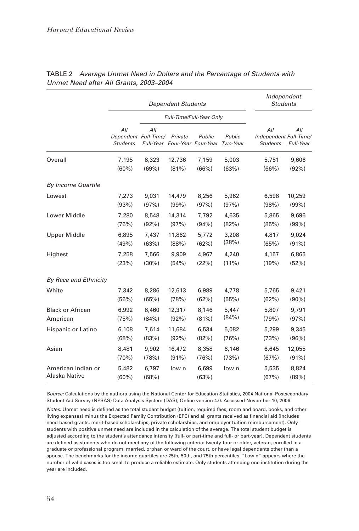|                                     | <b>Dependent Students</b>                              |                |        |                                                  |          | Independent<br><b>Students</b>            |                  |
|-------------------------------------|--------------------------------------------------------|----------------|--------|--------------------------------------------------|----------|-------------------------------------------|------------------|
|                                     | Full-Time/Full-Year Only                               |                |        |                                                  |          |                                           |                  |
|                                     | All<br>Dependent Full-Time/ Private<br><b>Students</b> | All            |        | Public<br>Full-Year Four-Year Four-Year Two-Year | Public   | All<br>Independent Full-Time/<br>Students | All<br>Full-Year |
| Overall                             | 7,195                                                  | 8,323          | 12,736 | 7,159                                            | 5,003    | 5,751                                     | 9,606            |
|                                     | $(60\%)$                                               | (69%)          | (81%)  | (66%)                                            | (63%)    | (66%)                                     | (92%)            |
| <b>By Income Quartile</b>           |                                                        |                |        |                                                  |          |                                           |                  |
| Lowest                              | 7,273                                                  | 9,031          | 14,479 | 8,256                                            | 5,962    | 6,598                                     | 10,259           |
|                                     | (93%)                                                  | (97%)          | (99%)  | (97%)                                            | (97%)    | (98%)                                     | (99%)            |
| Lower Middle                        | 7,280                                                  | 8,548          | 14,314 | 7,792                                            | 4,635    | 5,865                                     | 9,696            |
|                                     | (76%)                                                  | (92%)          | (97%)  | (94%)                                            | (82%)    | (85%)                                     | (99%)            |
| <b>Upper Middle</b>                 | 6,895                                                  | 7,437          | 11,862 | 5,772                                            | 3,208    | 4,817                                     | 9,024            |
|                                     | (49%)                                                  | (63%)          | (88%)  | (62%)                                            | (38%)    | (65%)                                     | $(91\%)$         |
| Highest                             | 7,258                                                  | 7,566          | 9,909  | 4,967                                            | 4,240    | 4,157                                     | 6,865            |
|                                     | (23%)                                                  | (30%)          | (54%)  | (22%)                                            | $(11\%)$ | (19%)                                     | (52%)            |
| By Race and Ethnicity               |                                                        |                |        |                                                  |          |                                           |                  |
| White                               | 7,342                                                  | 8,286          | 12,613 | 6,989                                            | 4,778    | 5,765                                     | 9,421            |
|                                     | (56%)                                                  | (65%)          | (78%)  | (62%)                                            | (55%)    | (62%)                                     | $(90\%)$         |
| <b>Black or African</b>             | 6,992                                                  | 8,460          | 12,317 | 8,146                                            | 5,447    | 5,807                                     | 9,791            |
| American                            | (75%)                                                  | (84%)          | (92%)  | (81%)                                            | (84%)    | (79%)                                     | (97%)            |
| Hispanic or Latino                  | 6,108                                                  | 7,614          | 11,684 | 6,534                                            | 5,082    | 5,299                                     | 9,345            |
|                                     | (68%)                                                  | (83%)          | (92%)  | (82%)                                            | (76%)    | (73%)                                     | (96%)            |
| Asian                               | 8,481                                                  | 9,902          | 16,472 | 8,358                                            | 6,146    | 6,645                                     | 12,055           |
|                                     | (70%)                                                  | (78%)          | (91%)  | (76%)                                            | (73%)    | (67%)                                     | $(91\%)$         |
| American Indian or<br>Alaska Native | 5,482<br>$(60\%)$                                      | 6,797<br>(68%) | low n  | 6,699<br>(63%)                                   | low n    | 5,535<br>(67%)                            | 8,824<br>(89%)   |

| TABLE 2 Average Unmet Need in Dollars and the Percentage of Students with |
|---------------------------------------------------------------------------|
| Unmet Need after All Grants, 2003–2004                                    |

*Source:* Calculations by the authors using the National Center for Education Statistics, 2004 National Postsecondary Student Aid Survey (NPSAS) Data Analysis System (DAS), Online version 4.0. Accessed November 10, 2006.

*Notes:* Unmet need is defined as the total student budget (tuition, required fees, room and board, books, and other living expenses) minus the Expected Family Contribution (EFC) and all grants received as financial aid (includes need-based grants, merit-based scholarships, private scholarships, and employer tuition reimbursement). Only students with positive unmet need are included in the calculation of the average. The total student budget is adjusted according to the student's attendance intensity (full- or part-time and full- or part-year). Dependent students are defined as students who do not meet any of the following criteria: twenty-four or older, veteran, enrolled in a graduate or professional program, married, orphan or ward of the court, or have legal dependents other than a spouse. The benchmarks for the income quartiles are 25th, 50th, and 75th percentiles. "Low n" appears where the number of valid cases is too small to produce a reliable estimate. Only students attending one institution during the year are included.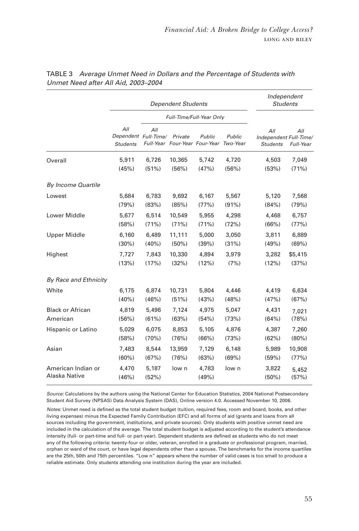|                                     | <b>Dependent Students</b>                      |                          |          |                                         | Independent<br><b>Students</b> |                                                  |                  |
|-------------------------------------|------------------------------------------------|--------------------------|----------|-----------------------------------------|--------------------------------|--------------------------------------------------|------------------|
|                                     |                                                | Full-Time/Full-Year Only |          |                                         |                                |                                                  |                  |
|                                     | All<br>Dependent Full-Time/<br><b>Students</b> | All                      | Private  | Public<br>Full-Year Four-Year Four-Year | Public<br>Two-Year             | All<br>Independent Full-Time/<br><b>Students</b> | All<br>Full-Year |
| Overall                             | 5,911                                          | 6,726                    | 10,365   | 5,742                                   | 4,720                          | 4,503                                            | 7,049            |
|                                     | (45%)                                          | (51%)                    | (56%)    | (47%)                                   | (56%)                          | (53%)                                            | $(71\%)$         |
| <b>By Income Quartile</b>           |                                                |                          |          |                                         |                                |                                                  |                  |
| Lowest                              | 5,684                                          | 6,783                    | 9,692    | 6,167                                   | 5,567                          | 5,120                                            | 7,568            |
|                                     | (79%)                                          | (83%)                    | (85%)    | (77%)                                   | (91%)                          | (84%)                                            | (79%)            |
| Lower Middle                        | 5,677                                          | 6,514                    | 10,549   | 5,955                                   | 4,298                          | 4,468                                            | 6,757            |
|                                     | (58%)                                          | (71%)                    | (71%)    | (71%)                                   | (72%)                          | (66%)                                            | (77%)            |
| <b>Upper Middle</b>                 | 6,160                                          | 6,489                    | 11,111   | 5,000                                   | 3,050                          | 3,811                                            | 6,889            |
|                                     | (30%)                                          | (40%)                    | $(50\%)$ | (39%)                                   | (31%)                          | (49%)                                            | (69%)            |
| Highest                             | 7,727                                          | 7,843                    | 10,330   | 4,894                                   | 3,979                          | 3,282                                            | \$5,415          |
|                                     | (13%)                                          | (17%)                    | (32%)    | (12%)                                   | (7%)                           | (12%)                                            | (37%)            |
| By Race and Ethnicity               |                                                |                          |          |                                         |                                |                                                  |                  |
| White                               | 6,175                                          | 6,874                    | 10,731   | 5,804                                   | 4,446                          | 4,419                                            | 6,634            |
|                                     | (40%)                                          | (46%)                    | (51%)    | (43%)                                   | (48%)                          | (47%)                                            | (67%)            |
| <b>Black or African</b>             | 4,819                                          | 5,496                    | 7,124    | 4,975                                   | 5,047                          | 4,431                                            | 7,021            |
| American                            | (56%)                                          | (61%)                    | (63%)    | (54%)                                   | (73%)                          | (64%)                                            | (78%)            |
| Hispanic or Latino                  | 5,029                                          | 6,075                    | 8,853    | 5,105                                   | 4,876                          | 4,387                                            | 7,260            |
|                                     | (58%)                                          | (70%)                    | (76%)    | (66%)                                   | (73%)                          | (62%)                                            | (80%)            |
| Asian                               | 7,483                                          | 8,544                    | 13,959   | 7,129                                   | 6,148                          | 5,989                                            | 10,908           |
|                                     | $(60\%)$                                       | (67%)                    | (76%)    | (63%)                                   | (69%)                          | (59%)                                            | (77%)            |
| American Indian or<br>Alaska Native | 4,470<br>(46%)                                 | 5,187<br>(52%)           | low n    | 4,783<br>(49%)                          | low n                          | 3,822<br>(50%)                                   | 5,452<br>(57%)   |

## Table 3 *Average Unmet Need in Dollars and the Percentage of Students with Unmet Need after All Aid, 2003–2004*

*Source:* Calculations by the authors using the National Center for Education Statistics, 2004 National Postsecondary Student Aid Survey (NPSAS) Data Analysis System (DAS), Online version 4.0. Accessed November 10, 2006.

*Notes:* Unmet need is defined as the total student budget (tuition, required fees, room and board, books, and other living expenses) minus the Expected Family Contribution (EFC) and all forms of aid (grants and loans from all sources including the government, institutions, and private sources). Only students with positive unmet need are included in the calculation of the average. The total student budget is adjusted according to the student's attendance intensity (full- or part-time and full- or part-year). Dependent students are defined as students who do not meet any of the following criteria: twenty-four or older, veteran, enrolled in a graduate or professional program, married, orphan or ward of the court, or have legal dependents other than a spouse. The benchmarks for the income quartiles are the 25th, 50th and 75th percentiles. "Low n" appears where the number of valid cases is too small to produce a reliable estimate. Only students attending one institution during the year are included.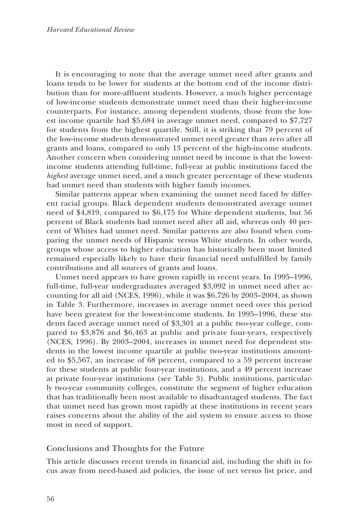It is encouraging to note that the average unmet need after grants and loans tends to be lower for students at the bottom end of the income distribution than for more-affluent students. However, a much higher percentage of low-income students demonstrate unmet need than their higher-income counterparts. For instance, among dependent students, those from the lowest income quartile had \$5,684 in average unmet need, compared to \$7,727 for students from the highest quartile. Still, it is striking that 79 percent of the low-income students demonstrated unmet need greater than zero after all grants and loans, compared to only 13 percent of the high-income students. Another concern when considering unmet need by income is that the lowestincome students attending full-time, full-year at public institutions faced the *highest* average unmet need, and a much greater percentage of these students had unmet need than students with higher family incomes.

Similar patterns appear when examining the unmet need faced by different racial groups. Black dependent students demonstrated average unmet need of \$4,819, compared to \$6,175 for White dependent students, but 56 percent of Black students had unmet need after all aid, whereas only 40 percent of Whites had unmet need. Similar patterns are also found when comparing the unmet needs of Hispanic versus White students. In other words, groups whose access to higher education has historically been most limited remained especially likely to have their financial need unfulfilled by family contributions and all sources of grants and loans.

Unmet need appears to have grown rapidly in recent years. In 1995–1996, full-time, full-year undergraduates averaged \$3,092 in unmet need after accounting for all aid (NCES, 1996), while it was \$6,726 by 2003–2004, as shown in Table 3. Furthermore, increases in average unmet need over this period have been greatest for the lowest-income students. In 1995–1996, these students faced average unmet need of \$3,301 at a public two-year college, compared to \$3,876 and \$6,463 at public and private four-years, respectively (NCES, 1996). By 2003–2004, increases in unmet need for dependent students in the lowest income quartile at public two-year institutions amounted to \$5,567, an increase of 68 percent, compared to a 59 percent increase for these students at public four-year institutions, and a 49 percent increase at private four-year institutions (see Table 3). Public institutions, particularly two-year community colleges, constitute the segment of higher education that has traditionally been most available to disadvantaged students. The fact that unmet need has grown most rapidly at these institutions in recent years raises concerns about the ability of the aid system to ensure access to those most in need of support.

### Conclusions and Thoughts for the Future

This article discusses recent trends in financial aid, including the shift in focus away from need-based aid policies, the issue of net versus list price, and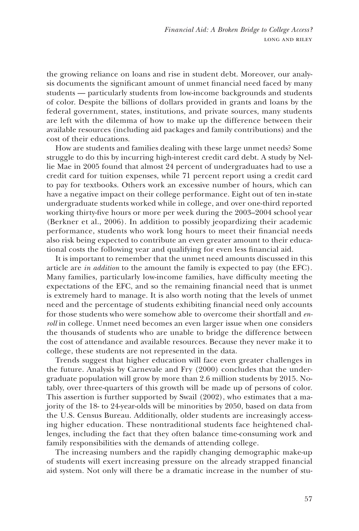the growing reliance on loans and rise in student debt. Moreover, our analysis documents the significant amount of unmet financial need faced by many students — particularly students from low-income backgrounds and students of color. Despite the billions of dollars provided in grants and loans by the federal government, states, institutions, and private sources, many students are left with the dilemma of how to make up the difference between their available resources (including aid packages and family contributions) and the cost of their educations.

How are students and families dealing with these large unmet needs? Some struggle to do this by incurring high-interest credit card debt. A study by Nellie Mae in 2005 found that almost 24 percent of undergraduates had to use a credit card for tuition expenses, while 71 percent report using a credit card to pay for textbooks. Others work an excessive number of hours, which can have a negative impact on their college performance. Eight out of ten in-state undergraduate students worked while in college, and over one-third reported working thirty-five hours or more per week during the 2003–2004 school year (Berkner et al., 2006). In addition to possibly jeopardizing their academic performance, students who work long hours to meet their financial needs also risk being expected to contribute an even greater amount to their educational costs the following year and qualifying for even less financial aid.

It is important to remember that the unmet need amounts discussed in this article are *in addition* to the amount the family is expected to pay (the EFC). Many families, particularly low-income families, have difficulty meeting the expectations of the EFC, and so the remaining financial need that is unmet is extremely hard to manage. It is also worth noting that the levels of unmet need and the percentage of students exhibiting financial need only accounts for those students who were somehow able to overcome their shortfall and *enroll* in college. Unmet need becomes an even larger issue when one considers the thousands of students who are unable to bridge the difference between the cost of attendance and available resources. Because they never make it to college, these students are not represented in the data.

Trends suggest that higher education will face even greater challenges in the future. Analysis by Carnevale and Fry (2000) concludes that the undergraduate population will grow by more than 2.6 million students by 2015. Notably, over three-quarters of this growth will be made up of persons of color. This assertion is further supported by Swail (2002), who estimates that a majority of the 18- to 24-year-olds will be minorities by 2050, based on data from the U.S. Census Bureau. Additionally, older students are increasingly accessing higher education. These nontraditional students face heightened challenges, including the fact that they often balance time-consuming work and family responsibilities with the demands of attending college.

The increasing numbers and the rapidly changing demographic make-up of students will exert increasing pressure on the already strapped financial aid system. Not only will there be a dramatic increase in the number of stu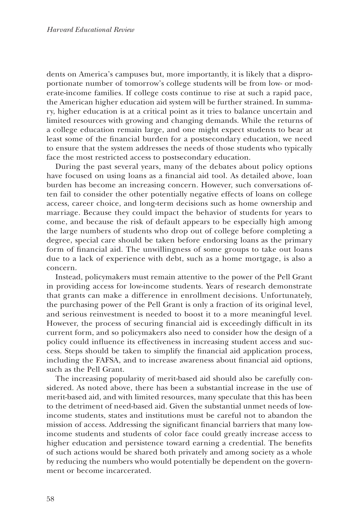dents on America's campuses but, more importantly, it is likely that a disproportionate number of tomorrow's college students will be from low- or moderate-income families. If college costs continue to rise at such a rapid pace, the American higher education aid system will be further strained. In summary, higher education is at a critical point as it tries to balance uncertain and limited resources with growing and changing demands. While the returns of a college education remain large, and one might expect students to bear at least some of the financial burden for a postsecondary education, we need to ensure that the system addresses the needs of those students who typically face the most restricted access to postsecondary education.

During the past several years, many of the debates about policy options have focused on using loans as a financial aid tool. As detailed above, loan burden has become an increasing concern. However, such conversations often fail to consider the other potentially negative effects of loans on college access, career choice, and long-term decisions such as home ownership and marriage. Because they could impact the behavior of students for years to come, and because the risk of default appears to be especially high among the large numbers of students who drop out of college before completing a degree, special care should be taken before endorsing loans as the primary form of financial aid. The unwillingness of some groups to take out loans due to a lack of experience with debt, such as a home mortgage, is also a concern.

Instead, policymakers must remain attentive to the power of the Pell Grant in providing access for low-income students. Years of research demonstrate that grants can make a difference in enrollment decisions. Unfortunately, the purchasing power of the Pell Grant is only a fraction of its original level, and serious reinvestment is needed to boost it to a more meaningful level. However, the process of securing financial aid is exceedingly difficult in its current form, and so policymakers also need to consider how the design of a policy could influence its effectiveness in increasing student access and success. Steps should be taken to simplify the financial aid application process, including the FAFSA, and to increase awareness about financial aid options, such as the Pell Grant.

The increasing popularity of merit-based aid should also be carefully considered. As noted above, there has been a substantial increase in the use of merit-based aid, and with limited resources, many speculate that this has been to the detriment of need-based aid. Given the substantial unmet needs of lowincome students, states and institutions must be careful not to abandon the mission of access. Addressing the significant financial barriers that many lowincome students and students of color face could greatly increase access to higher education and persistence toward earning a credential. The benefits of such actions would be shared both privately and among society as a whole by reducing the numbers who would potentially be dependent on the government or become incarcerated.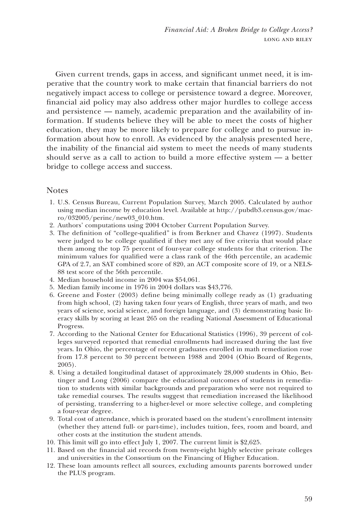Given current trends, gaps in access, and significant unmet need, it is imperative that the country work to make certain that financial barriers do not negatively impact access to college or persistence toward a degree. Moreover, financial aid policy may also address other major hurdles to college access and persistence — namely, academic preparation and the availability of information. If students believe they will be able to meet the costs of higher education, they may be more likely to prepare for college and to pursue information about how to enroll. As evidenced by the analysis presented here, the inability of the financial aid system to meet the needs of many students should serve as a call to action to build a more effective system — a better bridge to college access and success.

#### **Notes**

- 1. U.S. Census Bureau, Current Population Survey, March 2005. Calculated by author using median income by education level. Available at http://pubdb3.census.gov/macro/032005/perinc/new03\_010.htm.
- Authors' computations using 2004 October Current Population Survey. 2.
- 3. The definition of "college-qualified" is from Berkner and Chavez (1997). Students were judged to be college qualified if they met any of five criteria that would place them among the top 75 percent of four-year college students for that criterion. The minimum values for qualified were a class rank of the 46th percentile, an academic GPA of 2.7, an SAT combined score of 820, an ACT composite score of 19, or a NELS-88 test score of the 56th percentile.
- 4. Median household income in 2004 was \$54,061.
- 5. Median family income in  $1976$  in  $2004$  dollars was \$43,776.
- 6. Greene and Foster (2003) define being minimally college ready as (1) graduating from high school, (2) having taken four years of English, three years of math, and two years of science, social science, and foreign language, and (3) demonstrating basic literacy skills by scoring at least 265 on the reading National Assessment of Educational Progress.
- According to the National Center for Educational Statistics (1996), 39 percent of col-7. leges surveyed reported that remedial enrollments had increased during the last five years. In Ohio, the percentage of recent graduates enrolled in math remediation rose from 17.8 percent to 30 percent between 1988 and 2004 (Ohio Board of Regents, 2005).
- 8. Using a detailed longitudinal dataset of approximately 28,000 students in Ohio, Bettinger and Long (2006) compare the educational outcomes of students in remediation to students with similar backgrounds and preparation who were not required to take remedial courses. The results suggest that remediation increased the likelihood of persisting, transferring to a higher-level or more selective college, and completing a four-year degree.
- 9. Total cost of attendance, which is prorated based on the student's enrollment intensity (whether they attend full- or part-time), includes tuition, fees, room and board, and other costs at the institution the student attends.
- 10. This limit will go into effect July 1, 2007. The current limit is \$2,625.
- 11. Based on the financial aid records from twenty-eight highly selective private colleges and universities in the Consortium on the Financing of Higher Education.
- 12. These loan amounts reflect all sources, excluding amounts parents borrowed under the PLUS program.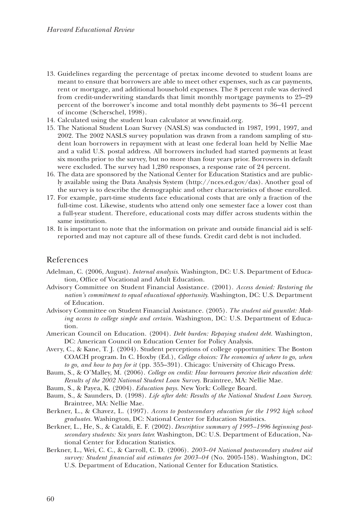- 13. Guidelines regarding the percentage of pretax income devoted to student loans are meant to ensure that borrowers are able to meet other expenses, such as car payments, rent or mortgage, and additional household expenses. The 8 percent rule was derived from credit-underwriting standards that limit monthly mortgage payments to 25–29 percent of the borrower's income and total monthly debt payments to 36–41 percent of income (Scherschel, 1998).
- 14. Calculated using the student loan calculator at www.finaid.org.
- 15. The National Student Loan Survey (NASLS) was conducted in 1987, 1991, 1997, and 2002. The 2002 NASLS survey population was drawn from a random sampling of student loan borrowers in repayment with at least one federal loan held by Nellie Mae and a valid U.S. postal address. All borrowers included had started payments at least six months prior to the survey, but no more than four years prior. Borrowers in default were excluded. The survey had 1,280 responses, a response rate of 24 percent.
- 16. The data are sponsored by the National Center for Education Statistics and are publicly available using the Data Analysis System (http://nces.ed.gov/das). Another goal of the survey is to describe the demographic and other characteristics of those enrolled.
- 17. For example, part-time students face educational costs that are only a fraction of the full-time cost. Likewise, students who attend only one semester face a lower cost than a full-year student. Therefore, educational costs may differ across students within the same institution.
- 18. It is important to note that the information on private and outside financial aid is selfreported and may not capture all of these funds. Credit card debt is not included.

#### References

- Adelman, C. (2006, August). *Internal analysis*. Washington, DC: U.S. Department of Education, Office of Vocational and Adult Education.
- Advisory Committee on Student Financial Assistance. (2001). *Access denied: Restoring the nation's commitment to equal educational opportunity.* Washington, DC: U.S. Department of Education.
- Advisory Committee on Student Financial Assistance. (2005). *The student aid gauntlet: Making access to college simple and certain*. Washington, DC: U.S. Department of Education.
- American Council on Education. (2004). *Debt burden: Repaying student debt*. Washington, DC: American Council on Education Center for Policy Analysis.
- Avery, C., & Kane, T. J. (2004). Student perceptions of college opportunities: The Boston COACH program. In C. Hoxby (Ed.), *College choices: The economics of where to go, when to go, and how to pay for it* (pp. 355–391)*.* Chicago: University of Chicago Press.
- Baum, S., & O'Malley, M. (2006). *College on credit: How borrowers perceive their education debt: Results of the 2002 National Student Loan Survey.* Braintree, MA: Nellie Mae.
- Baum, S., & Payea, K. (2004). *Education pays.* New York: College Board.
- Baum, S., & Saunders, D. (1998). *Life after debt: Results of the National Student Loan Survey.* Braintree, MA: Nellie Mae.
- Berkner, L., & Chavez, L. (1997). *Access to postsecondary education for the 1992 high school graduates.* Washington, DC: National Center for Education Statistics.
- Berkner, L., He, S., & Cataldi, E. F. (2002). *Descriptive summary of 1995–1996 beginning postsecondary students: Six years later.* Washington, DC: U.S. Department of Education, National Center for Education Statistics.
- Berkner, L., Wei, C. C., & Carroll, C. D. (2006). *2003–04 National postsecondary student aid survey: Student financial aid estimates for 2003–04* (No. 2005-158). Washington, DC: U.S. Department of Education, National Center for Education Statistics.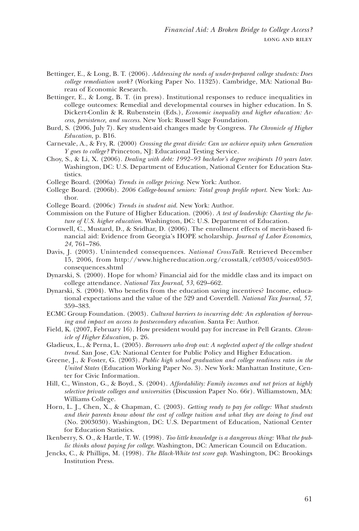- Bettinger, E., & Long, B. T. (2006). *Addressing the needs of under-prepared college students: Does college remediation work?* (Working Paper No. 11325). Cambridge, MA: National Bureau of Economic Research.
- Bettinger, E., & Long, B. T. (in press). Institutional responses to reduce inequalities in college outcomes: Remedial and developmental courses in higher education. In S. Dickert-Conlin & R. Rubenstein (Eds.), *Economic inequality and higher education: Access, persistence, and success*. New York: Russell Sage Foundation.
- Burd, S. (2006, July 7). Key student-aid changes made by Congress. *The Chronicle of Higher Education*, p. B16.
- Carnevale, A., & Fry, R. (2000) *Crossing the great divide: Can we achieve equity when Generation Y goes to college?* Princeton, NJ: Educational Testing Service.
- Choy, S., & Li, X. (2006). *Dealing with debt: 1992–93 bachelor's degree recipients 10 years later*. Washington, DC: U.S. Department of Education, National Center for Education Statistics.
- College Board. (2006a) *Trends in college pricing*. New York: Author.
- College Board. (2006b). *2006 College-bound seniors: Total group profile report*. New York: Author.
- College Board. (2006c) *Trends in student aid*. New York: Author.
- Commission on the Future of Higher Education. (2006). *A test of leadership: Charting the future of U.S. higher education*. Washington, DC: U.S. Department of Education.
- Cornwell, C., Mustard, D., & Sridhar, D. (2006). The enrollment effects of merit-based financial aid: Evidence from Georgia's HOPE scholarship. *Journal of Labor Economics, 24*, 761–786.
- Davis, J. (2003). Unintended consequences. *National CrossTalk.* Retrieved December 15, 2006, from http://www.highereducation.org/crosstalk/ct0303/voices0303 consequences.shtml
- Dynarski, S. (2000). Hope for whom? Financial aid for the middle class and its impact on college attendance. *National Tax Journal*, *53*, 629–662.
- Dynarski, S. (2004). Who benefits from the education saving incentives? Income, educational expectations and the value of the 529 and Coverdell. *National Tax Journal, 57*, 359–383.
- ECMC Group Foundation. (2003). *Cultural barriers to incurring debt: An exploration of borrowing and impact on access to postsecondary education.* Santa Fe: Author.
- Field, K. (2007, February 16). How president would pay for increase in Pell Grants. *Chronicle of Higher Education*, p. 26.
- Gladieux, L., & Perna, L. (2005). *Borrowers who drop out: A neglected aspect of the college student trend*. San Jose, CA: National Center for Public Policy and Higher Education.
- Greene, J., & Foster, G. (2003). *Public high school graduation and college readiness rates in the United States* (Education Working Paper No. 3). New York: Manhattan Institute, Center for Civic Information.
- Hill, C., Winston, G., & Boyd., S. (2004). *Affordability: Family incomes and net prices at highly selective private colleges and universities* (Discussion Paper No. 66r). Williamstown, MA: Williams College.
- Horn, L. J., Chen, X., & Chapman, C. (2003). *Getting ready to pay for college: What students and their parents know about the cost of college tuition and what they are doing to find out* (No. 2003030). Washington, DC: U.S. Department of Education, National Center for Education Statistics.
- Ikenberry, S. O., & Hartle, T. W. (1998). *Too little knowledge is a dangerous thing: What the public thinks about paying for college*. Washington, DC: American Council on Education.
- Jencks, C., & Phillips, M. (1998). *The Black-White test score gap*. Washington, DC: Brookings Institution Press.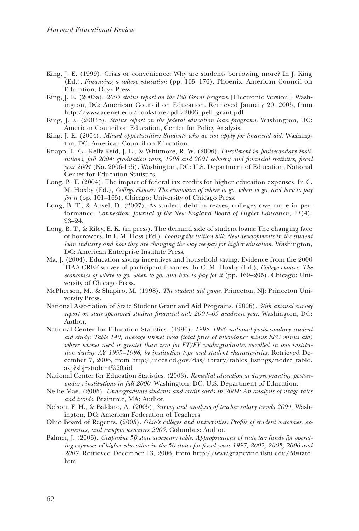- King, J. E. (1999). Crisis or convenience: Why are students borrowing more? In J. King (Ed.), *Financing a college education* (pp. 165–176). Phoenix: American Council on Education, Oryx Press.
- King, J. E. (2003a). *2003 status report on the Pell Grant program* [Electronic Version]. Washington, DC: American Council on Education. Retrieved January 20, 2005, from http://www.acenet.edu/bookstore/pdf/2003\_pell\_grant.pdf
- King, J. E. (2003b). *Status report on the federal education loan programs.* Washington, DC: American Council on Education, Center for Policy Analysis.
- King, J. E. (2004). *Missed opportunities: Students who do not apply for financial aid*. Washington, DC: American Council on Education.
- Knapp, L. G., Kelly-Reid, J. E., & Whitmore, R. W. (2006). *Enrollment in postsecondary institutions, fall 2004; graduation rates, 1998 and 2001 cohorts; and financial statistics, fiscal year 2004* (No. 2006-155)**.** Washington, DC: U.S. Department of Education, National Center for Education Statistics.
- Long, B. T. (2004). The impact of federal tax credits for higher education expenses. In C. M. Hoxby (Ed.), *College choices: The economics of where to go, when to go, and how to pay for it* (pp. 101–165)*.* Chicago: University of Chicago Press.
- Long, B. T., & Ansel, D. (2007). As student debt increases, colleges owe more in performance. *Connection: Journal of the New England Board of Higher Education, 21*(4), 23–24.
- Long, B. T., & Riley, E. K. (in press). The demand side of student loans: The changing face of borrowers. In F. M. Hess (Ed.), *Footing the tuition bill: New developments in the student loan industry and how they are changing the way we pay for higher education.* Washington, DC: American Enterprise Institute Press.
- Ma, J. (2004). Education saving incentives and household saving: Evidence from the 2000 TIAA-CREF survey of participant finances. In C. M. Hoxby (Ed.), *College choices: The economics of where to go, when to go, and how to pay for it* (pp. 169–205)*.* Chicago: University of Chicago Press.
- McPherson, M., & Shapiro, M. (1998). *The student aid game.* Princeton, NJ: Princeton University Press.
- National Association of State Student Grant and Aid Programs. (2006). *36th annual survey report on state sponsored student financial aid: 2004–05 academic year*. Washington, DC: Author.
- National Center for Education Statistics. (1996). *1995–1996 national postsecondary student aid study: Table 140, average unmet need (total price of attendance minus EFC minus aid) where unmet need is greater than zero for FT/FY undergraduates enrolled in one institution during AY 1995–1996, by institution type and student characteristics.* Retrieved December 7, 2006, from http://nces.ed.gov/das/library/tables\_listings/nedrc\_table. asp?sbj=student%20aid
- National Center for Education Statistics. (2003). *Remedial education at degree granting postsecondary institutions in fall 2000.* Washington, DC: U.S. Department of Education.
- Nellie Mae. (2005). *Undergraduate students and credit cards in 2004: An analysis of usage rates and trends*. Braintree, MA: Author.
- Nelson, F. H., & Baldaro, A. (2005). *Survey and analysis of teacher salary trends 2004.* Washington, DC: American Federation of Teachers.
- Ohio Board of Regents. (2005). *Ohio's colleges and universities: Profile of student outcomes, experiences, and campus measures 2005.* Columbus: Author.
- Palmer, J. (2006). *Grapevine 50 state summary table: Appropriations of state tax funds for operating expenses of higher education in the 50 states for fiscal years 1997, 2002, 2005, 2006 and 2007*. Retrieved December 13, 2006, from http://www.grapevine.ilstu.edu/50state. htm